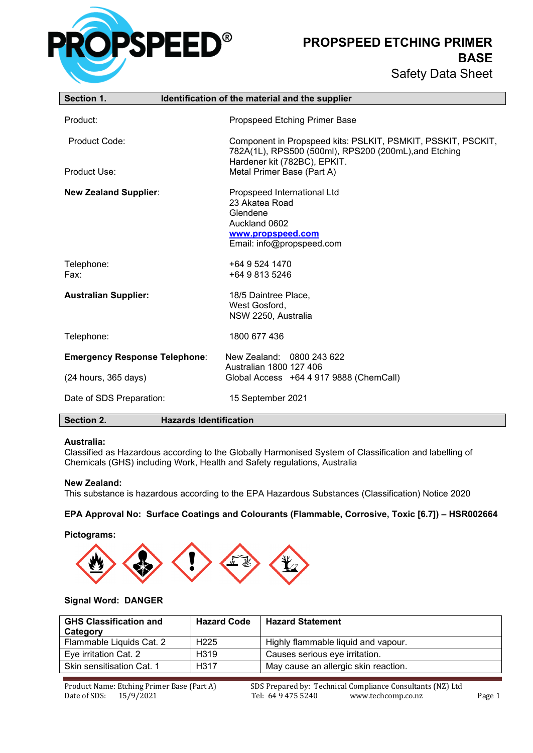

**PROPSPEED ETCHING PRIMER BASE** Safety Data Sheet

| Section 1.                           | Identification of the material and the supplier                                                                              |
|--------------------------------------|------------------------------------------------------------------------------------------------------------------------------|
| Product:                             | Propspeed Etching Primer Base                                                                                                |
| Product Code:                        | Component in Propspeed kits: PSLKIT, PSMKIT, PSSKIT, PSCKIT,<br>782A(1L), RPS500 (500ml), RPS200 (200mL), and Etching        |
| Product Use:                         | Hardener kit (782BC), EPKIT.<br>Metal Primer Base (Part A)                                                                   |
| <b>New Zealand Supplier:</b>         | Propspeed International Ltd<br>23 Akatea Road<br>Glendene<br>Auckland 0602<br>www.propspeed.com<br>Email: info@propspeed.com |
| Telephone:<br>Fax:                   | +64 9 524 1470<br>+64 9 813 5246                                                                                             |
| <b>Australian Supplier:</b>          | 18/5 Daintree Place,<br>West Gosford,<br>NSW 2250, Australia                                                                 |
| Telephone:                           | 1800 677 436                                                                                                                 |
| <b>Emergency Response Telephone:</b> | New Zealand: 0800 243 622<br>Australian 1800 127 406                                                                         |
| (24 hours, 365 days)                 | Global Access +64 4 917 9888 (ChemCall)                                                                                      |
| Date of SDS Preparation:             | 15 September 2021                                                                                                            |
| Section 2.                           | <b>Hazards Identification</b>                                                                                                |

#### **Australia:**

Classified as Hazardous according to the Globally Harmonised System of Classification and labelling of Chemicals (GHS) including Work, Health and Safety regulations, Australia

#### **New Zealand:**

This substance is hazardous according to the EPA Hazardous Substances (Classification) Notice 2020

#### **EPA Approval No: Surface Coatings and Colourants (Flammable, Corrosive, Toxic [6.7]) – HSR002664**

**Pictograms:**



#### **Signal Word: DANGER**

| <b>GHS Classification and</b><br>Category | <b>Hazard Code</b> | <b>Hazard Statement</b>              |
|-------------------------------------------|--------------------|--------------------------------------|
| Flammable Liquids Cat. 2                  | H <sub>225</sub>   | Highly flammable liquid and vapour.  |
| Eye irritation Cat. 2                     | H319               | Causes serious eye irritation.       |
| Skin sensitisation Cat. 1                 | H <sub>3</sub> 17  | May cause an allergic skin reaction. |

Product Name: Etching Primer Base (Part A) SDS Prepared by: Technical Compliance Consultants (NZ) Ltd<br>Date of SDS: 15/9/2021 Tel: 64 9 475 5240 www.techcomp.co.nz www.techcomp.co.nz Page 1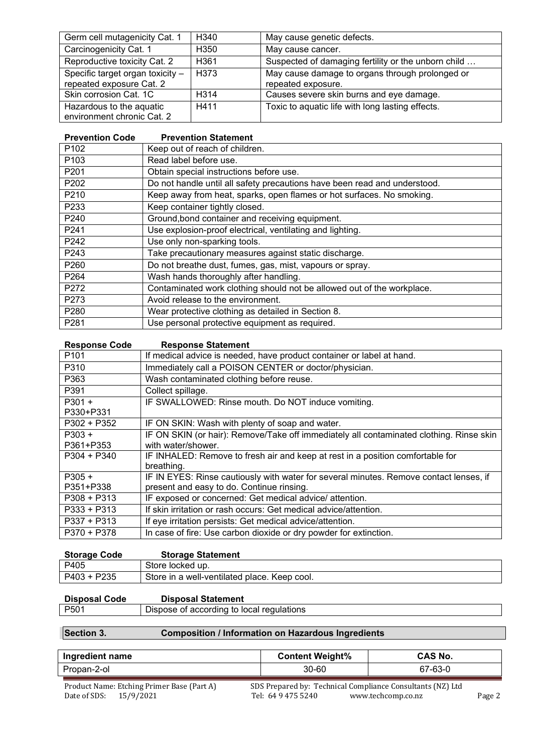| Germ cell mutagenicity Cat. 1                                | H340              | May cause genetic defects.                                            |
|--------------------------------------------------------------|-------------------|-----------------------------------------------------------------------|
| Carcinogenicity Cat. 1                                       | H <sub>350</sub>  | May cause cancer.                                                     |
| Reproductive toxicity Cat. 2                                 | H <sub>361</sub>  | Suspected of damaging fertility or the unborn child                   |
| Specific target organ toxicity -<br>repeated exposure Cat. 2 | H373              | May cause damage to organs through prolonged or<br>repeated exposure. |
| Skin corrosion Cat. 1C                                       | H <sub>3</sub> 14 | Causes severe skin burns and eye damage.                              |
| Hazardous to the aquatic<br>environment chronic Cat. 2       | H411              | Toxic to aquatic life with long lasting effects.                      |

| <b>Prevention Statement</b>                                               |
|---------------------------------------------------------------------------|
| Keep out of reach of children.                                            |
| Read label before use.                                                    |
| Obtain special instructions before use.                                   |
| Do not handle until all safety precautions have been read and understood. |
| Keep away from heat, sparks, open flames or hot surfaces. No smoking.     |
| Keep container tightly closed.                                            |
| Ground, bond container and receiving equipment.                           |
| Use explosion-proof electrical, ventilating and lighting.                 |
| Use only non-sparking tools.                                              |
| Take precautionary measures against static discharge.                     |
| Do not breathe dust, fumes, gas, mist, vapours or spray.                  |
| Wash hands thoroughly after handling.                                     |
| Contaminated work clothing should not be allowed out of the workplace.    |
| Avoid release to the environment.                                         |
| Wear protective clothing as detailed in Section 8.                        |
| Use personal protective equipment as required.                            |
|                                                                           |

| P <sub>101</sub><br>If medical advice is needed, have product container or label at hand.<br>P310<br>Immediately call a POISON CENTER or doctor/physician.<br>P363<br>Wash contaminated clothing before reuse.<br>P391<br>Collect spillage.<br>$P301 +$<br>IF SWALLOWED: Rinse mouth. Do NOT induce vomiting.<br>P330+P331<br>$P302 + P352$<br>IF ON SKIN: Wash with plenty of soap and water.<br>$P303 +$<br>IF ON SKIN (or hair): Remove/Take off immediately all contaminated clothing. Rinse skin<br>with water/shower.<br>P361+P353<br>IF INHALED: Remove to fresh air and keep at rest in a position comfortable for<br>$P304 + P340$<br>breathing.<br>IF IN EYES: Rinse cautiously with water for several minutes. Remove contact lenses, if<br>$P305 +$<br>present and easy to do. Continue rinsing.<br>P351+P338<br>IF exposed or concerned: Get medical advice/attention.<br>$P308 + P313$<br>If skin irritation or rash occurs: Get medical advice/attention.<br>$P333 + P313$<br>$P337 + P313$<br>If eye irritation persists: Get medical advice/attention.<br>In case of fire: Use carbon dioxide or dry powder for extinction.<br>P370 + P378 | <b>Response Code</b> | <b>Response Statement</b> |
|-------------------------------------------------------------------------------------------------------------------------------------------------------------------------------------------------------------------------------------------------------------------------------------------------------------------------------------------------------------------------------------------------------------------------------------------------------------------------------------------------------------------------------------------------------------------------------------------------------------------------------------------------------------------------------------------------------------------------------------------------------------------------------------------------------------------------------------------------------------------------------------------------------------------------------------------------------------------------------------------------------------------------------------------------------------------------------------------------------------------------------------------------------------|----------------------|---------------------------|
|                                                                                                                                                                                                                                                                                                                                                                                                                                                                                                                                                                                                                                                                                                                                                                                                                                                                                                                                                                                                                                                                                                                                                             |                      |                           |
|                                                                                                                                                                                                                                                                                                                                                                                                                                                                                                                                                                                                                                                                                                                                                                                                                                                                                                                                                                                                                                                                                                                                                             |                      |                           |
|                                                                                                                                                                                                                                                                                                                                                                                                                                                                                                                                                                                                                                                                                                                                                                                                                                                                                                                                                                                                                                                                                                                                                             |                      |                           |
|                                                                                                                                                                                                                                                                                                                                                                                                                                                                                                                                                                                                                                                                                                                                                                                                                                                                                                                                                                                                                                                                                                                                                             |                      |                           |
|                                                                                                                                                                                                                                                                                                                                                                                                                                                                                                                                                                                                                                                                                                                                                                                                                                                                                                                                                                                                                                                                                                                                                             |                      |                           |
|                                                                                                                                                                                                                                                                                                                                                                                                                                                                                                                                                                                                                                                                                                                                                                                                                                                                                                                                                                                                                                                                                                                                                             |                      |                           |
|                                                                                                                                                                                                                                                                                                                                                                                                                                                                                                                                                                                                                                                                                                                                                                                                                                                                                                                                                                                                                                                                                                                                                             |                      |                           |
|                                                                                                                                                                                                                                                                                                                                                                                                                                                                                                                                                                                                                                                                                                                                                                                                                                                                                                                                                                                                                                                                                                                                                             |                      |                           |
|                                                                                                                                                                                                                                                                                                                                                                                                                                                                                                                                                                                                                                                                                                                                                                                                                                                                                                                                                                                                                                                                                                                                                             |                      |                           |
|                                                                                                                                                                                                                                                                                                                                                                                                                                                                                                                                                                                                                                                                                                                                                                                                                                                                                                                                                                                                                                                                                                                                                             |                      |                           |
|                                                                                                                                                                                                                                                                                                                                                                                                                                                                                                                                                                                                                                                                                                                                                                                                                                                                                                                                                                                                                                                                                                                                                             |                      |                           |
|                                                                                                                                                                                                                                                                                                                                                                                                                                                                                                                                                                                                                                                                                                                                                                                                                                                                                                                                                                                                                                                                                                                                                             |                      |                           |
|                                                                                                                                                                                                                                                                                                                                                                                                                                                                                                                                                                                                                                                                                                                                                                                                                                                                                                                                                                                                                                                                                                                                                             |                      |                           |
|                                                                                                                                                                                                                                                                                                                                                                                                                                                                                                                                                                                                                                                                                                                                                                                                                                                                                                                                                                                                                                                                                                                                                             |                      |                           |
|                                                                                                                                                                                                                                                                                                                                                                                                                                                                                                                                                                                                                                                                                                                                                                                                                                                                                                                                                                                                                                                                                                                                                             |                      |                           |
|                                                                                                                                                                                                                                                                                                                                                                                                                                                                                                                                                                                                                                                                                                                                                                                                                                                                                                                                                                                                                                                                                                                                                             |                      |                           |
|                                                                                                                                                                                                                                                                                                                                                                                                                                                                                                                                                                                                                                                                                                                                                                                                                                                                                                                                                                                                                                                                                                                                                             |                      |                           |

| <b>Storage Code</b> | <b>Storage Statement</b>                     |
|---------------------|----------------------------------------------|
| P405                | Store locked up.                             |
| P403 + P235         | Store in a well-ventilated place. Keep cool. |

# **Disposal Code Disposal Statement**

| P <sub>501</sub> | Dispose of according to local regulations |  |  |
|------------------|-------------------------------------------|--|--|
|                  |                                           |  |  |

# **Section 3. Composition / Information on Hazardous Ingredients**

| Ingredient name                            |  | <b>Content Weight%</b>                                      | <b>CAS No.</b> |  |
|--------------------------------------------|--|-------------------------------------------------------------|----------------|--|
| Propan-2-ol                                |  | 30-60                                                       | 67-63-0        |  |
| Product Name: Etching Primer Base (Part A) |  | SDS Prepared by: Technical Compliance Consultants (NZ) Ltd. |                |  |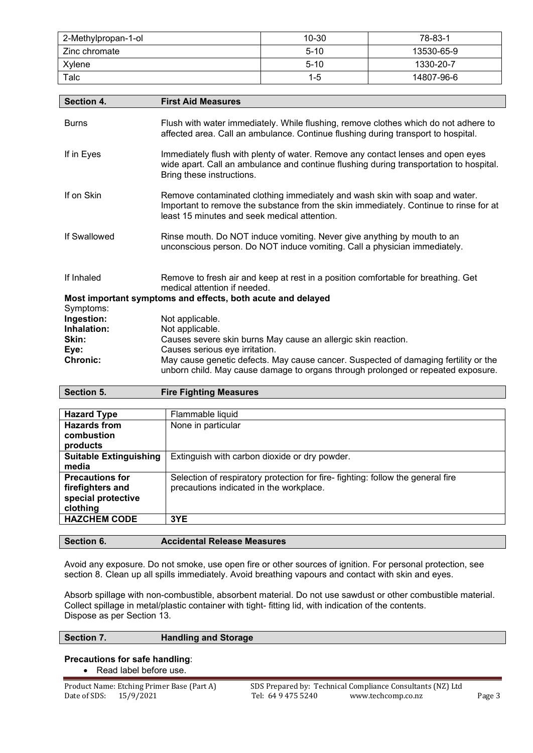| 2-Methylpropan-1-ol | $10 - 30$ | 78-83-1    |
|---------------------|-----------|------------|
| Zinc chromate       | $5 - 10$  | 13530-65-9 |
| Xvlene              | $5 - 10$  | 1330-20-7  |
| Talc                | $1 - 5$   | 14807-96-6 |

| Section 4.              | <b>First Aid Measures</b>                                                                                                                                                                                            |
|-------------------------|----------------------------------------------------------------------------------------------------------------------------------------------------------------------------------------------------------------------|
| <b>Burns</b>            | Flush with water immediately. While flushing, remove clothes which do not adhere to<br>affected area. Call an ambulance. Continue flushing during transport to hospital.                                             |
| If in Eyes              | Immediately flush with plenty of water. Remove any contact lenses and open eyes<br>wide apart. Call an ambulance and continue flushing during transportation to hospital.<br>Bring these instructions.               |
| If on Skin              | Remove contaminated clothing immediately and wash skin with soap and water.<br>Important to remove the substance from the skin immediately. Continue to rinse for at<br>least 15 minutes and seek medical attention. |
| If Swallowed            | Rinse mouth. Do NOT induce vomiting. Never give anything by mouth to an<br>unconscious person. Do NOT induce vomiting. Call a physician immediately.                                                                 |
| If Inhaled              | Remove to fresh air and keep at rest in a position comfortable for breathing. Get<br>medical attention if needed.                                                                                                    |
|                         | Most important symptoms and effects, both acute and delayed                                                                                                                                                          |
| Symptoms:<br>Ingestion: | Not applicable.                                                                                                                                                                                                      |
| Inhalation:             | Not applicable.                                                                                                                                                                                                      |
| Skin:                   | Causes severe skin burns May cause an allergic skin reaction.                                                                                                                                                        |
| Eye:                    | Causes serious eye irritation.                                                                                                                                                                                       |
| <b>Chronic:</b>         | May cause genetic defects. May cause cancer. Suspected of damaging fertility or the<br>unborn child. May cause damage to organs through prolonged or repeated exposure.                                              |
| Section 5.              | <b>Fire Fighting Measures</b>                                                                                                                                                                                        |

| <b>Hazard Type</b>            | Flammable liquid                                                               |
|-------------------------------|--------------------------------------------------------------------------------|
| Hazards from                  | None in particular                                                             |
| combustion                    |                                                                                |
| products                      |                                                                                |
| <b>Suitable Extinguishing</b> | Extinguish with carbon dioxide or dry powder.                                  |
| media                         |                                                                                |
| <b>Precautions for</b>        | Selection of respiratory protection for fire-fighting: follow the general fire |
| firefighters and              | precautions indicated in the workplace.                                        |
| special protective            |                                                                                |
| clothing                      |                                                                                |
| <b>HAZCHEM CODE</b>           | 3YE                                                                            |
|                               |                                                                                |

**Section 6. Accidental Release Measures**

Avoid any exposure. Do not smoke, use open fire or other sources of ignition. For personal protection, see section 8. Clean up all spills immediately. Avoid breathing vapours and contact with skin and eyes.

Absorb spillage with non-combustible, absorbent material. Do not use sawdust or other combustible material. Collect spillage in metal/plastic container with tight- fitting lid, with indication of the contents. Dispose as per Section 13.

### **Section 7. Handling and Storage**

**Precautions for safe handling**:

• Read label before use.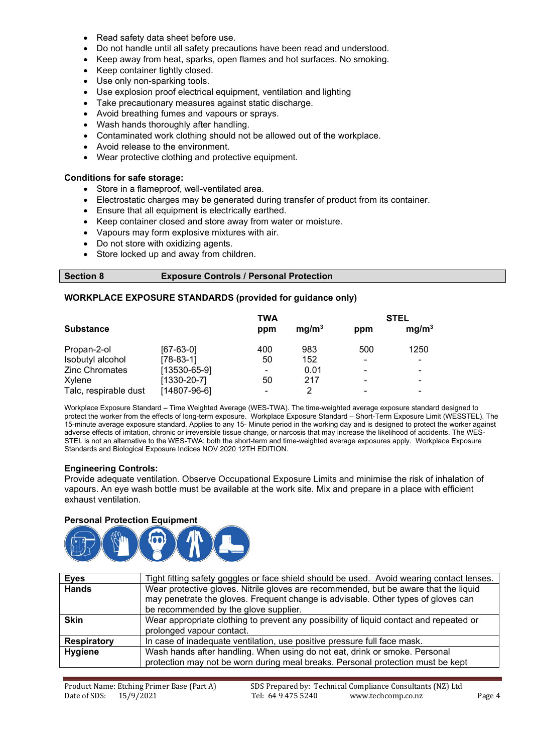- Read safety data sheet before use.
- Do not handle until all safety precautions have been read and understood.
- Keep away from heat, sparks, open flames and hot surfaces. No smoking.
- Keep container tightly closed.
- Use only non-sparking tools.
- Use explosion proof electrical equipment, ventilation and lighting
- Take precautionary measures against static discharge.
- Avoid breathing fumes and vapours or sprays.
- Wash hands thoroughly after handling.
- Contaminated work clothing should not be allowed out of the workplace.
- Avoid release to the environment.
- Wear protective clothing and protective equipment.

#### **Conditions for safe storage:**

- Store in a flameproof, well-ventilated area.
- Electrostatic charges may be generated during transfer of product from its container.
- Ensure that all equipment is electrically earthed.
- Keep container closed and store away from water or moisture.
- Vapours may form explosive mixtures with air.
- Do not store with oxidizing agents.
- Store locked up and away from children.

#### **Section 8 Exposure Controls / Personal Protection**

#### **WORKPLACE EXPOSURE STANDARDS (provided for guidance only)**

|                       |                    | TWA            |                   | <b>STEL</b> |                   |  |
|-----------------------|--------------------|----------------|-------------------|-------------|-------------------|--|
| <b>Substance</b>      |                    | ppm            | mg/m <sup>3</sup> | ppm         | mg/m <sup>3</sup> |  |
| Propan-2-ol           | $[67-63-0]$        | 400            | 983               | 500         | 1250              |  |
| Isobutyl alcohol      | $[78-83-1]$        | 50             | 152               | -           |                   |  |
| Zinc Chromates        | $[13530 - 65 - 9]$ | $\blacksquare$ | 0.01              | -           |                   |  |
| Xylene                | [1330-20-7]        | 50             | 217               | -           |                   |  |
| Talc, respirable dust | [14807-96-6]       |                | າ                 |             |                   |  |

Workplace Exposure Standard – Time Weighted Average (WES-TWA). The time-weighted average exposure standard designed to protect the worker from the effects of long-term exposure. Workplace Exposure Standard – Short-Term Exposure Limit (WESSTEL). The 15-minute average exposure standard. Applies to any 15- Minute period in the working day and is designed to protect the worker against adverse effects of irritation, chronic or irreversible tissue change, or narcosis that may increase the likelihood of accidents. The WES-STEL is not an alternative to the WES-TWA; both the short-term and time-weighted average exposures apply. Workplace Exposure Standards and Biological Exposure Indices NOV 2020 12TH EDITION.

#### **Engineering Controls:**

Provide adequate ventilation. Observe Occupational Exposure Limits and minimise the risk of inhalation of vapours. An eye wash bottle must be available at the work site. Mix and prepare in a place with efficient exhaust ventilation.

#### **Personal Protection Equipment**



| <b>Eyes</b>        | Tight fitting safety goggles or face shield should be used. Avoid wearing contact lenses. |  |
|--------------------|-------------------------------------------------------------------------------------------|--|
| <b>Hands</b>       | Wear protective gloves. Nitrile gloves are recommended, but be aware that the liquid      |  |
|                    | may penetrate the gloves. Frequent change is advisable. Other types of gloves can         |  |
|                    | be recommended by the glove supplier.                                                     |  |
| <b>Skin</b>        | Wear appropriate clothing to prevent any possibility of liquid contact and repeated or    |  |
|                    | prolonged vapour contact.                                                                 |  |
| <b>Respiratory</b> | In case of inadequate ventilation, use positive pressure full face mask.                  |  |
| <b>Hygiene</b>     | Wash hands after handling. When using do not eat, drink or smoke. Personal                |  |
|                    | protection may not be worn during meal breaks. Personal protection must be kept           |  |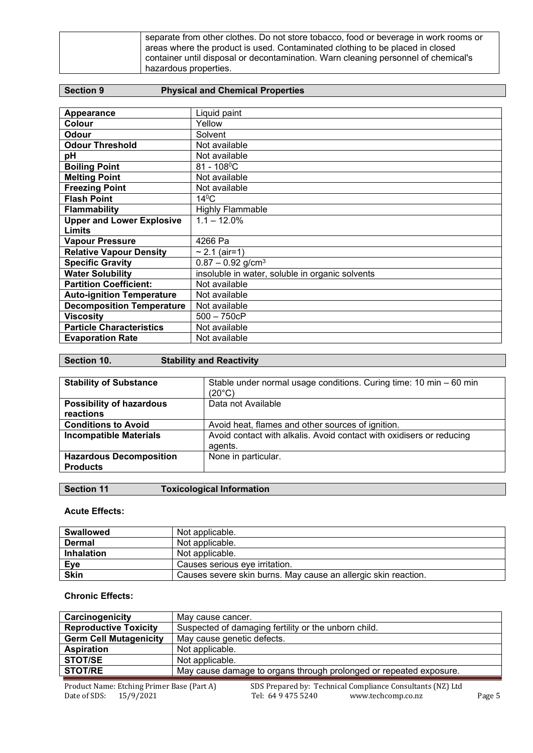| separate from other clothes. Do not store tobacco, food or beverage in work rooms or<br>areas where the product is used. Contaminated clothing to be placed in closed<br>container until disposal or decontamination. Warn cleaning personnel of chemical's |
|-------------------------------------------------------------------------------------------------------------------------------------------------------------------------------------------------------------------------------------------------------------|
| hazardous properties.                                                                                                                                                                                                                                       |

# **Section 9 Physical and Chemical Properties**

| Appearance                       | Liquid paint                                    |
|----------------------------------|-------------------------------------------------|
| Colour                           | Yellow                                          |
| Odour                            | Solvent                                         |
| <b>Odour Threshold</b>           | Not available                                   |
| pH                               | Not available                                   |
| <b>Boiling Point</b>             | $81 - 108$ <sup>o</sup> C                       |
| <b>Melting Point</b>             | Not available                                   |
| <b>Freezing Point</b>            | Not available                                   |
| <b>Flash Point</b>               | $14^{\circ}$ C                                  |
| <b>Flammability</b>              | <b>Highly Flammable</b>                         |
| <b>Upper and Lower Explosive</b> | $1.1 - 12.0\%$                                  |
| <b>Limits</b>                    |                                                 |
| <b>Vapour Pressure</b>           | 4266 Pa                                         |
| <b>Relative Vapour Density</b>   | $\sim$ 2.1 (air=1)                              |
| <b>Specific Gravity</b>          | $0.87 - 0.92$ g/cm <sup>3</sup>                 |
| <b>Water Solubility</b>          | insoluble in water, soluble in organic solvents |
| <b>Partition Coefficient:</b>    | Not available                                   |
| <b>Auto-ignition Temperature</b> | Not available                                   |
| <b>Decomposition Temperature</b> | Not available                                   |
| <b>Viscosity</b>                 | $500 - 750cP$                                   |
| <b>Particle Characteristics</b>  | Not available                                   |
| <b>Evaporation Rate</b>          | Not available                                   |

| Section 10. | <b>Stability and Reactivity</b> |
|-------------|---------------------------------|
|-------------|---------------------------------|

| <b>Stability of Substance</b>   | Stable under normal usage conditions. Curing time: 10 min - 60 min   |
|---------------------------------|----------------------------------------------------------------------|
|                                 |                                                                      |
|                                 | $(20^{\circ}C)$                                                      |
| <b>Possibility of hazardous</b> | Data not Available                                                   |
|                                 |                                                                      |
| reactions                       |                                                                      |
| <b>Conditions to Avoid</b>      | Avoid heat, flames and other sources of ignition.                    |
|                                 |                                                                      |
| <b>Incompatible Materials</b>   | Avoid contact with alkalis. Avoid contact with oxidisers or reducing |
|                                 | agents.                                                              |
|                                 |                                                                      |
| <b>Hazardous Decomposition</b>  | None in particular.                                                  |
|                                 |                                                                      |
| <b>Products</b>                 |                                                                      |
|                                 |                                                                      |

# **Section 11 Toxicological Information**

#### **Acute Effects:**

| <b>Swallowed</b>  | Not applicable.                                                |
|-------------------|----------------------------------------------------------------|
| <b>Dermal</b>     | Not applicable.                                                |
| <b>Inhalation</b> | Not applicable.                                                |
| <b>Eye</b>        | Causes serious eye irritation.                                 |
| <b>Skin</b>       | Causes severe skin burns. May cause an allergic skin reaction. |

# **Chronic Effects:**

| Carcinogenicity               | May cause cancer.                                                  |  |
|-------------------------------|--------------------------------------------------------------------|--|
| <b>Reproductive Toxicity</b>  | Suspected of damaging fertility or the unborn child.               |  |
| <b>Germ Cell Mutagenicity</b> | May cause genetic defects.                                         |  |
| <b>Aspiration</b>             | Not applicable.                                                    |  |
| <b>STOT/SE</b>                | Not applicable.                                                    |  |
| <b>STOT/RE</b>                | May cause damage to organs through prolonged or repeated exposure. |  |
|                               |                                                                    |  |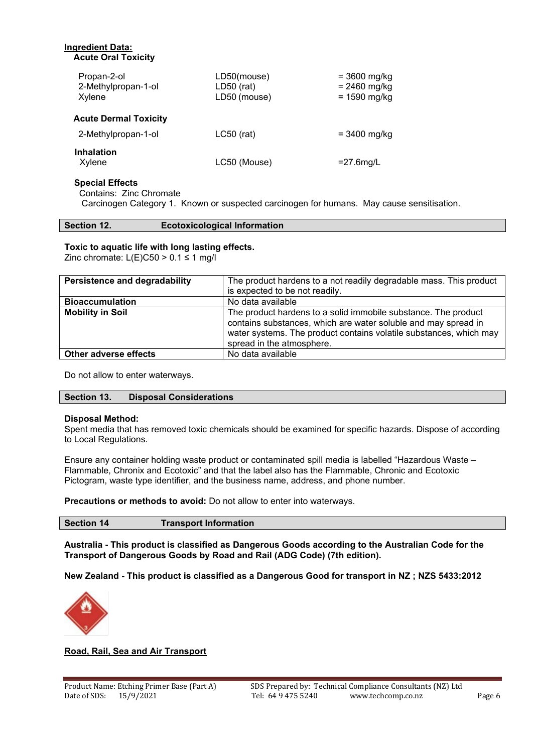| <b>Ingredient Data:</b><br><b>Acute Oral Toxicity</b> |                                             |                                                    |
|-------------------------------------------------------|---------------------------------------------|----------------------------------------------------|
| Propan-2-ol<br>2-Methylpropan-1-ol<br>Xylene          | LD50(mouse)<br>$LD50$ (rat)<br>LD50 (mouse) | $= 3600$ mg/kg<br>$= 2460$ mg/kg<br>$= 1590$ mg/kg |
| <b>Acute Dermal Toxicity</b>                          |                                             |                                                    |
| 2-Methylpropan-1-ol                                   | $LC50$ (rat)                                | = 3400 mg/kg                                       |
| <b>Inhalation</b><br>Xylene                           | LC50 (Mouse)                                | $=$ 27.6 mg/L                                      |

#### **Special Effects**

Contains: Zinc Chromate

Carcinogen Category 1. Known or suspected carcinogen for humans. May cause sensitisation.

#### **Section 12. Ecotoxicological Information**

#### **Toxic to aquatic life with long lasting effects.**

Zinc chromate:  $L(E)C50 > 0.1 \le 1$  mg/l

| <b>Persistence and degradability</b> | The product hardens to a not readily degradable mass. This product                                                                                                                                                                  |
|--------------------------------------|-------------------------------------------------------------------------------------------------------------------------------------------------------------------------------------------------------------------------------------|
|                                      | is expected to be not readily.                                                                                                                                                                                                      |
| <b>Bioaccumulation</b>               | No data available                                                                                                                                                                                                                   |
| <b>Mobility in Soil</b>              | The product hardens to a solid immobile substance. The product<br>contains substances, which are water soluble and may spread in<br>water systems. The product contains volatile substances, which may<br>spread in the atmosphere. |
| Other adverse effects                | No data available                                                                                                                                                                                                                   |

Do not allow to enter waterways.

#### **Section 13. Disposal Considerations**

#### **Disposal Method:**

Spent media that has removed toxic chemicals should be examined for specific hazards. Dispose of according to Local Regulations.

Ensure any container holding waste product or contaminated spill media is labelled "Hazardous Waste – Flammable, Chronix and Ecotoxic" and that the label also has the Flammable, Chronic and Ecotoxic Pictogram, waste type identifier, and the business name, address, and phone number.

**Precautions or methods to avoid:** Do not allow to enter into waterways.

**Section 14 Transport Information**

**Australia - This product is classified as Dangerous Goods according to the Australian Code for the Transport of Dangerous Goods by Road and Rail (ADG Code) (7th edition).**

**New Zealand - This product is classified as a Dangerous Good for transport in NZ ; NZS 5433:2012**



#### **Road, Rail, Sea and Air Transport**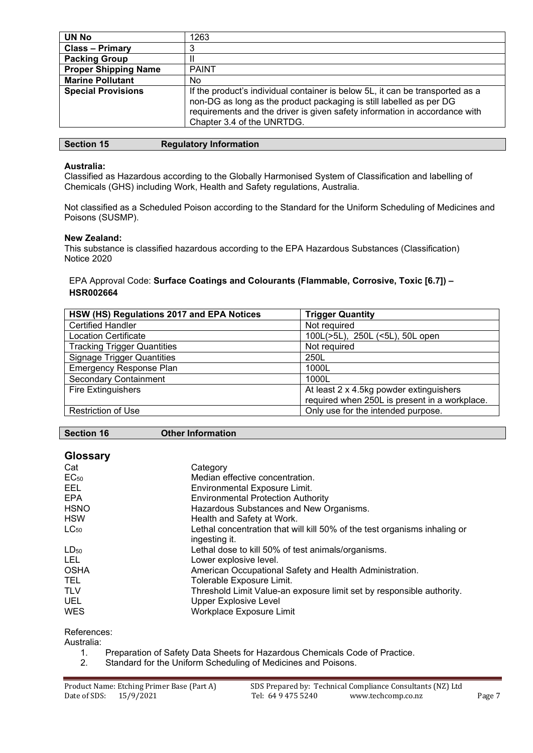| UN No                       | 1263                                                                                                                                                                                                                                                             |
|-----------------------------|------------------------------------------------------------------------------------------------------------------------------------------------------------------------------------------------------------------------------------------------------------------|
| <b>Class - Primary</b>      |                                                                                                                                                                                                                                                                  |
| <b>Packing Group</b>        |                                                                                                                                                                                                                                                                  |
| <b>Proper Shipping Name</b> | <b>PAINT</b>                                                                                                                                                                                                                                                     |
| <b>Marine Pollutant</b>     | No.                                                                                                                                                                                                                                                              |
| <b>Special Provisions</b>   | If the product's individual container is below 5L, it can be transported as a<br>non-DG as long as the product packaging is still labelled as per DG<br>requirements and the driver is given safety information in accordance with<br>Chapter 3.4 of the UNRTDG. |

#### **Australia:**

Classified as Hazardous according to the Globally Harmonised System of Classification and labelling of Chemicals (GHS) including Work, Health and Safety regulations, Australia.

Not classified as a Scheduled Poison according to the Standard for the Uniform Scheduling of Medicines and Poisons (SUSMP).

#### **New Zealand:**

This substance is classified hazardous according to the EPA Hazardous Substances (Classification) Notice 2020

# EPA Approval Code: **Surface Coatings and Colourants (Flammable, Corrosive, Toxic [6.7]) – HSR002664**

| HSW (HS) Regulations 2017 and EPA Notices | <b>Trigger Quantity</b>                       |
|-------------------------------------------|-----------------------------------------------|
| <b>Certified Handler</b>                  | Not required                                  |
| <b>Location Certificate</b>               | 100L(>5L), 250L (<5L), 50L open               |
| <b>Tracking Trigger Quantities</b>        | Not required                                  |
| <b>Signage Trigger Quantities</b>         | 250L                                          |
| <b>Emergency Response Plan</b>            | 1000L                                         |
| <b>Secondary Containment</b>              | 1000L                                         |
| <b>Fire Extinguishers</b>                 | At least 2 x 4.5kg powder extinguishers       |
|                                           | required when 250L is present in a workplace. |
| Restriction of Use                        | Only use for the intended purpose.            |

**Section 16 Other Information**

| <b>Glossary</b> |                                                                           |
|-----------------|---------------------------------------------------------------------------|
| Cat             | Category                                                                  |
| $EC_{50}$       | Median effective concentration.                                           |
| EEL             | Environmental Exposure Limit.                                             |
| <b>EPA</b>      | <b>Environmental Protection Authority</b>                                 |
| <b>HSNO</b>     | Hazardous Substances and New Organisms.                                   |
| <b>HSW</b>      | Health and Safety at Work.                                                |
| $LC_{50}$       | Lethal concentration that will kill 50% of the test organisms inhaling or |
|                 | ingesting it.                                                             |
| $LD_{50}$       | Lethal dose to kill 50% of test animals/organisms.                        |
| <b>LEL</b>      | Lower explosive level.                                                    |
| <b>OSHA</b>     | American Occupational Safety and Health Administration.                   |
| TEL.            | Tolerable Exposure Limit.                                                 |
| <b>TLV</b>      | Threshold Limit Value-an exposure limit set by responsible authority.     |
| <b>UEL</b>      | <b>Upper Explosive Level</b>                                              |
| <b>WES</b>      | Workplace Exposure Limit                                                  |

References:

Australia:

- 1. Preparation of Safety Data Sheets for Hazardous Chemicals Code of Practice.<br>2. Standard for the Uniform Scheduling of Medicines and Poisons.
- Standard for the Uniform Scheduling of Medicines and Poisons.